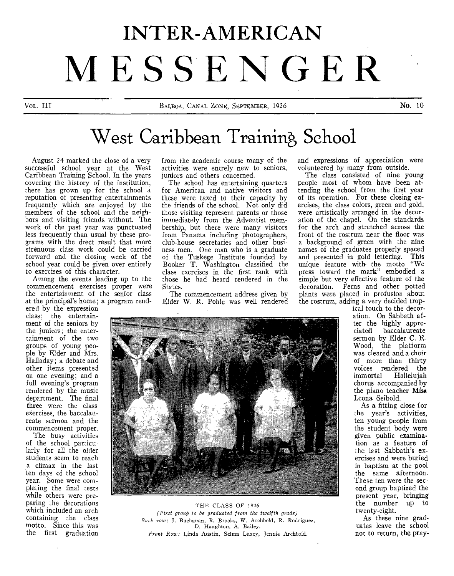# **INTER-AMERICAN MESSENGER**

# West Caribbean Training School

August 24 marked the close of a very successful school year at the West Caribbean Training School. In the years covering the history of the institution, there has grown up for the school a reputation of presenting entertainments frequently which are enjoyed by the members of the school and the neighbors and visiting friends without. The work of the past year was punctuated less frequently than usual by these programs with the drect result that more strenuous class work could be carried forward and the closing week of the school year could be given over entirely to exercises of this character.

Among the events leading up to the commencement exercises proper were the entertainment of the senior class at the principal's home; a program rend-

ered by the expression class; the entertainment of the seniors by the juniors; the entertainment of the two groups of young people by Elder and Mrs. Halladay; a debate and other items presented on one evening; and a full evening's program rendered by the music department. The final three were the class exercises, the baccalaureate sermon and the commencement proper.

The busy activities of the school particularly for all the older students seem to reach a climax in the last ten days of the school year. Some were completing the final tests while others were preparing the decorations which included an arch containing the class motto. Since this was the first graduation

from the academic course many of the activities were entrely new to seniors, juniors and others concerned.

The school has entertaining quarters for American and native visitors and these were taxed to their capacity by the friends of the school. Not only did those visiting represent parents or those immediately from the Adventist membership, but there were many, visitors from Panama including photographers, club-house secretaries and other business men. One man who is a graduate of the Tuskege Institute founded by Booker T. Washington classified the class exercises in the first rank with those he had heard rendered in the States.

The commencement address given by Elder W. R. Pohle was well rendered and expressions of appreciation were volunteered by many from outside.

The class consisted of nine young people most of whom have been attending the school from the first year of its operation. For these closing exercises, the class colors, green and gold, were artistically arranged in the decoration of the chapel. On the standards for the arch and stretched across the front of the rostrum near the floor was a background of green with the nine names of the graduates properly spaced and presented in gold lettering. This unique feature with the motto "We press toward the mark" embodied a simple but very effective feature of the decoration. Ferns and other potted plants were placed in profusion about the rostrum, adding a very decided trop-



THE CLASS OF 1926 *(First group to be graduated from the twelfth grade) Back row: J.* Buchanan, R. Brooks, W. Archbold, R. Rodriguez, D. Haughton, A. Bailey. *Front Row:* Linda Austin, Selma Luzey, Jennie Archbold.

ical touch to the decoration. On Sabbath after the highly apprebaccalaureate sermon by Elder C. B. Wood, the platform was cleared and a choir of more than thirty voices rendered the immortal Hallelujah chorus accompanied by the piano teacher Miss Leona Seibold.

As a fitting close for the year's activities, ten young people from the student body were given public examination as a feature of the last Sabbath's exercises and were buried in baptism at the pool the same afternoon. These ten were the second group baptized the present year, bringing the number up to twenty-eight.

As these nine graduates leave the school not to return, the pray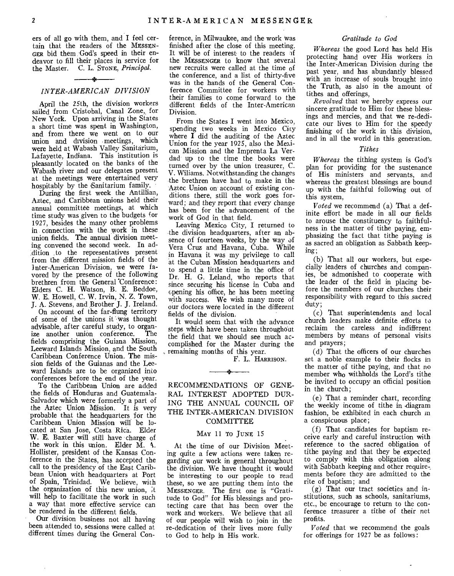ers of all go with them, and I feel certain that the readers of the MESSEN-GER bid them God's speed in their endeavor to fill their places in service for the Master. C. L. STONE, *Principal.* 

#### *INTER-AMERICAN DIVISION*

 $\overline{\phantom{a}}$ 

April the 25th, the division workers sailed from Cristobal, Canal Zone, for New York. Upon arriving in the States a short time was spent in Washington, and from there we went on to our union and division meetings, which were held at Wabash Valley Sanitarium, Lafayette, Indiana. This institution is pleasantly located on the banks of the Wabash river and our delegates present at the meetings were entertained very hospitably by the Sanitarium family.

During the first week the Antillian, Aztec, and Caribbean unions held their annual committee meetings, at which time study was given to the budgets for 1927, besides the many other problems in connection with the work in these union fields. The annual division meeting convened the second week. In addition to the representatives present from the different mission fields of the Inter-American Division, we were favored by the presence of the following brethren from the General 'Conference: Elders C. H. Watson, B. E. Beddoe, W. E. Howell, C. W. Irvin, N. Z. Town, J. A. Stevens, and Brother J. J. Ireland.

On account of the far-flung territory of some of the unions it was thought advisable, after careful study, to organize another union conference. fields comprising the Guiana Mission, Leeward Islands Mission, and the South Caribbean Conference Union. The mission fields of the Guianas and the Leeward Islands are to be organized into conferences before the end of the year.

To the Caribbean Union are added the fields of Honduras and Guatemala-Salvador which were formerly a part of the Aztec Union Mission. It is very probable that the headquarters for the Caribbean Union Mission will be located at San Jose, Costa Rica. Elder W. E. Baxter will still have charge of the work in this union. Elder M. N. Hollister, president of the Kansas Conference in the States, has accepted the call to the presidency of the East Caribbean Union with headquarters at Port of Spain, Trinidad. We believe, with the organization of this new union, it will help to facilitate the work in such a way that more effective service can be rendered in the different fields.

Our division business not all having been attended to, sessions were called at different times during the General Conference, in Milwaukee, and the work was finished after the close of this meeting. It will be of interest to the readers of the MESSENGER to know that several new recruits were called at the time of the conference, and a list of thirty-five was in the hands of the General Conference Committee for workers with their families to come forward to the different fields of the Inter-American Division.

From the States I went into Mexico, spending two weeks in Mexico City where  $\tilde{I}$  did the auditing of the Aztec Union for the year 1925, also the Mexican Mission and the Imprenta La Verdad up to the time the books were turned over by the union treasurer, C. V. Williams. Notwithstanding the changes the brethren have had to make in the Aztec Union on account of existing conditions there, still the work goes forward; and they report that every change has been for the advancement of the work of God in that field.

Leaving Mexico City, I returned to the division headquarters, after an absence of fourteen weeks, by the way of Vera Cruz and Havana, Cuba. While in Havana it was my privilege to call at the Cuban Mission headquarters and to spend a little time in the office of Dr. H. G. Leland, who reports that since securing his license in Cuba and opening his office, he has been meeting with success. We wish many more of our doctors were located in the different fields of the division.

It would seem that with the advance steps which have been taken throughout the field that we should see much accomplished for the Master during the remaining months of this year.

F. L. HARRISON.

## RECOMMENDATIONS OF GENE-RAL INTEREST ADOPTED DUR-ING THE ANNUAL COUNCIL OF THE INTER-AMERICAN, DIVISION **COMMITTEE**

Ÿ.

#### MAY 11 TO JUNE 15

At the time of our Division Meeting quite a few actions were taken regarding our work in general throughout the division. We have thought it would be interesting to our people to read these, so we are putting them into the MESSENGER. The first one is "Gratitude to God" for His blessings and protecting care that has been over the work and workers. We believe that all of our people will wish to join in the re-dedication of their lives more fully to God to help in His work.

#### *Gratitude to God*

*Whereas* the good Lord has held His protecting hand over His workers in the Inter-American Division during the past year, and has abundantly blessed with an increase of souls brought into the Truth, as also in the amount of tithes and offerings,

*Revolved* that we hereby express our sincere gratitude to Him for these blessings and mercies, and that we re-dedicate our lives to Him for the speedy finishing of the work in this division, and in all the world in this generation.

#### *Tithes*

*Whereas* the tithing system is God's plan for providing for the sustenance of His ministers and servants, and whereas the greatest blessings are bound up with the faithful following out of this system,

*Voted we* recommend (a) That a definite effort be made in all our fields to arouse the constituency to faithfulness in the matter of tithe paying, emphasizing the fact that tithe paying is as sacred an obligation as Sabbath keeping;

(b) That all our workers, but especially leaders of churches and companies, be admonished to cooperate with the leader of the field in placing before the members of our churches their responsibility with regard to this sacred duty;

(c) That superintendents and local church leaders make definite efforts to reclaim the careless and indifferent members by means of personal visits and prayers;

(d) That the officers of our churches set a noble example to their flocks in the matter of tithe paying, and that no member who withholds the Lord's tithe be invited to occupy an official position in the church;

(e) That a reminder chart, recording the weekly income of tithe in .diagram fashion, be exhibited in each church in a conspicuous place;

(f) That candidates for baptism receive early and careful instruction with reference to the sacred obligation of tithe paying and that they be expected to comply with this obligation along with Sabbath keeping and other require, ments before they are admitted to the rite of baptism; and

(g) That our tract societies and institutions, such as schools, sanitariums, etc., be encourage to return to the conference treasurer a tithe of their net profits.

*Voted* that we recommend the goals for offerings for 1927 be as follows: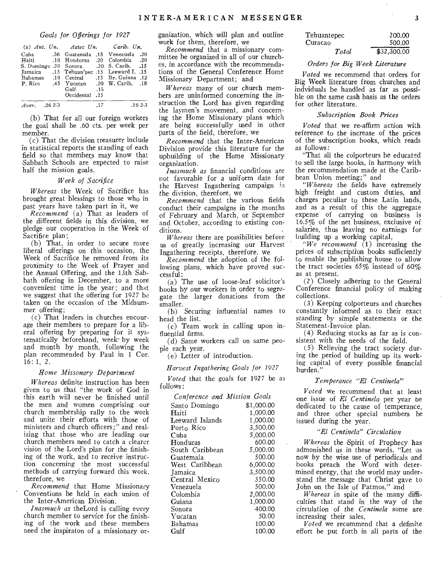#### *Goals for Offerings for 1927*

|               |  | (a) Ant. $Un.$ Aztec Un. Carib. Un. |     |                                            |  |
|---------------|--|-------------------------------------|-----|--------------------------------------------|--|
|               |  |                                     |     | 20. Cuba - 50 Guatemala 15 Venezuela       |  |
|               |  |                                     |     | 20. Haiti 10 Honduras .20 Colombia         |  |
|               |  |                                     |     | S. Domingo .30 Sonora .20 S. Carib. .15    |  |
|               |  |                                     |     | 15. Jamaica 15 Tehuan'pec 15 Leeward I. 15 |  |
|               |  |                                     |     | 12. Bahamas .10 Central .15 Br. Guiana.    |  |
|               |  |                                     |     | P. Rico .45 Yucatan .20 W. Carib. .18      |  |
|               |  | Gulf 15                             |     |                                            |  |
|               |  | Occidental .15                      |     |                                            |  |
| Aver. .26 2-3 |  |                                     | -17 | $.162 - .3$                                |  |

(b) That for all our foreign workers the goal shall be .60 cts. per week per member.

(c) That the division treasurer include in statistical reports the standing of each field so that members may know that Sabbath Schools are expected to raise half the mission goals.

#### *Week of Sacrifice*

*Whereas* the Week of Sacrifice has brought great blessings to those who in past years have taken part in it, *we* 

*Recommend* (a) That as leaders of the different fields in this division, we pledge our cooperation in the Week of Sacrifice plan;

(b) That, in order to secure more liberal offerings on this occasion, the Week of Sacrifice be removed from its proximity to the Week of Prayer and the Annual Offering, and the 13th Sabbath offering in December, to a more convenient time in the year; and that we suggest that the offering for 1927 be taken on the occasion of the Midsummer offering;

(c) That leaders in churches encourage their members to prepare for a liberal offering by preparing for it systematically beforehand, week-by week and month by month, following the plan recommended by Paul in 1 Cor. 16: 1, *2.* 

#### *Home Missonary Department*

*Whereas* definite instruction has been given to us that "the work of God in this earth will never be finished until the men and women comprising our church membership rally to the work and unite their efforts with those of ministers and church officers;" and realizing that those who are leading our church members need to catch a clearer vision of the Lord's plan for the finishing of the work, and to receive instruction concerning the most successful methods of carrying forward this work, therefore, we

*Recommend* that Home Missionary Conventions be held in each union of the Inter-American Division.

*Inasmuch as* theLord is calling every church member to service for the finishing of the work and these members need the inspiraton of a missionary organization, which will plan and outline work for them, therefore, we

*Recommend* that a missionary committee be organized in all of our churches, in accordance with the recommendations of the General Conference Home Missionary Department; and

*Whereas* many of our church members are uninformed concerning the instruction the Lord has given regarding the laymen's movement, and concerning the Home Missionary plans which are being successfully used in other parts of the field, therefore, we

*Recommend* that the Inter-American Division provide this literature for the upbuilding of the Home Missionary organization.

*Inasmuch as* financial conditions are not favorable for a uniform date for the Harvest Ingathering campaign in the division, therefore, we

*Recommend* that the various fields conduct their campaigns in the months of February and March, or September and October, according to existing conditions.

*Whereas* there are possibilities before us of greatly increasing our Harvest Ingathering receipts, therefore, *we* 

*Recommend* the adoption of the following plans, which have proved successful:

(a) The use of loose-leaf solicitor's books by our workers in order to segregate the larger donations from the smaller.

(b) Securing influential names to head the list.

(c) Team work in calling upon influential firms.

(d) Same workers call on same people each year.

(e) Letter of introduction.

*Harvest Ingathering Goals for 1927* 

*Voted* that the goals for 1927 be as follows:

| Conference and Mission Goals |            |  |  |
|------------------------------|------------|--|--|
| Santo Domingo                | \$1,000.00 |  |  |
| Haiti                        | 1,000.00   |  |  |
| Leeward Islands              | 1,000.00   |  |  |
| Porto Rico                   | 3,500.00   |  |  |
| Cuba                         | 5,000.00   |  |  |
| Honduras                     | 600.00     |  |  |
| South Caribbean              | 5,000.00   |  |  |
| Guatemala                    | 500.00     |  |  |
| West Caribbean               | 6,000.00   |  |  |
| <b>Jamaica</b>               | 3,500.00   |  |  |
| Central Mexico               | 350.00     |  |  |
| Venezuela                    | 500.00     |  |  |
| Colombia                     | 2,000.00   |  |  |
| Guiana                       | 1,000.00   |  |  |
| Sonora                       | 400.00     |  |  |
| Yucatan                      | 50.00      |  |  |
| Bahamas                      | 100.00     |  |  |
| Gulf                         | 100.00     |  |  |

| Tehuantepec | 200.00      |
|-------------|-------------|
| Curacao     | 500.00      |
| Total       | \$32,300.00 |

#### *Orders for Big Week Literature*

*Voted* we recommend that orders for Big Week literature from churches and indviduals be handled as far as possible on the same cash basis as the orders for other literature.

#### *Subscription Book Prices*

*Voted* that we re-affirm action with reference to the increase of the prices of the subscription books, which reads as follows:

"That all the colporteurs be educated to sell the large books, in harmony with the recommendation made at the Caribbean Union meeting;" and

*"Whereas* the fields have extremely high freight and custom duties, and charges peculiar to these Latin lands, and as a result of this the aggregate expense of carrying on business is 16.5% of the net business, exclusive of salaries, thus leaving no earnings for building up a working capital,

*"We recommend* (1) increasing the prices of subscription books sufficiently to enable the publishing house to allow the tract societies  $65\%$  instead of  $60\%$ as at present.

(2) Closely adhering to the General Conference financial policy of making collections.

(3) Keeping colporteurs and churches constantly informed as to their exact *standing* by simple statements or the Statement-Invoice plan.

(4) Reducing stocks as far as is consistent with the needs of the field.

(5) Relieving the tract society during the period of building up its working capital of every possible financial burden."

#### *Temperance "El Centinela"*

*Voted* we recommend that at least one issue of *El Centinela* per year be dedicated to the cause of temperance, and three other special numbers be issued during the year.

#### *"El Centinela" Circulation*

*Whereas* the Spirit of Prophecy has admonished us in these words, "Let us now by the wise use of periodicals and books preach the Word with determined energy, that the world may understand the message that Christ gave to John on the Isle of Patmos," and

*Whereas* in spite of the many difficulties that stand in the way of the circulation of the *Centinela* some are increasing their sales,

*Voted* we recommend that a definite effort be put forth in all parts of the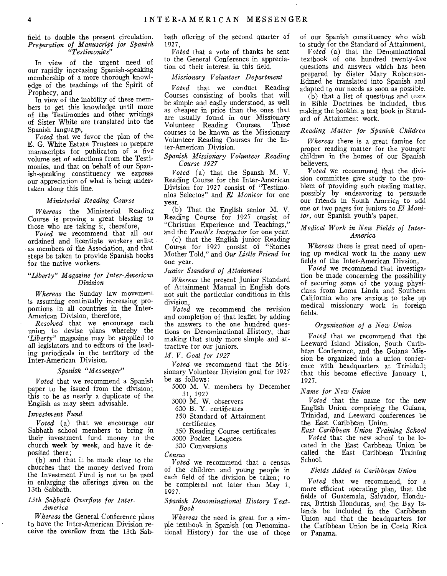#### field to double the present circulation. *Preparation of Manuscript for Spanish "Testimonies"*

In view of the urgent need of our rapidly increasing Spanish-speaking membership of a more thorough knowledge of the teachings of the Spirit of Prophecy, and

In view of the inability of these members to get this knowledge until more of the Testimonies and other writings of Sister White are translated into the Spanish language,

*Voted* that we favor the plan of the E. G. White Estate Trustees to prepare manuscripts for publicaton of a five volume set of selections from the Testimonies, and that on behalf of our Spanish-speaking constituency we express our appreciation of what is being undertaken along this line.

#### *Ministerial Reading Course*

*Whereas* the Ministerial Reading Course is proving a great blessing to those who are taking it, therefore,

*Voted* we recommend that all our ordained and licentiate workers enlist as members of the Association, and that steps be taken to provide Spanish books for the native workers.

#### *"Liberty" Magazine for Inter-American Division*

*Whereas* the Sunday law movement is assuming continually increasing proportions in all countries in the Inter-American Division, therefore,

*Resolved* that we encourage each union to devise plans whereby the *`Liberty"* magazine may be supplied to all legislators and to editors of the leading periodicals in the territory of the Inter-American Division.

#### *Spanish "Messenger"*

*Voted* that we recommend a Spanish paper to be issued from the division; this to be as nearly a duplicate of the English as may seem advisable.

#### *Investment Fund*

*Voted* (a) that we encourage our Sabbath school members to bring in their investment fund money to the church week by week, and have it deposited there;

(b) and that it be made clear to the churches that the money derived from the Investment Fund is not to be used in enlarging the offerings given on the 13th Sabbath.

#### *13th Sabbath Overflow for Inter-America*

*Whereas* the General Conference plans to have the Inter-American Division receive the overflow from the 13th Sabbath oflering of the second quarter of 1927,

*Voted* that a vote of thanks be sent to the General Conference in appreciation of their interest in this field.

#### *Missionary Volunteer Department*

*Voted* that we conduct Reading Courses consisting of books that will be simple and easily understood, as well as cheaper in price than the ones that are usually found in our Missionary<br>Volunteer Reading Courses. These Volunteer Reading Courses. courses to be known as the Missionary Volunteer Reading Courses for the Inter-American Division.

#### *Spanish Missionary Volunteer Reading Course 1927*

*Voted* (a) that the Spansh M. V. Reading Course for the Inter-American Division for 1927 consist of "Testimonios Selectos" and *El Monitor* for one year.

(b) That the English senior M. V. Reading Course for 1927 consist of "Christian Experience and Teachings," and the *Youth's Instructor* for one year.

(c) that the English junior Reading Course for 1927 consist of "Stories Mother Told," and *Our Little Friend* for one year.

#### *Junior Standard of Attainment*

*Whereas* the present Junior Standard of Attainment Manual in English does not suit the particular conditions in this division,

*Voted* we recommend the revision and completion of that leaflet by adding the answers to the one hundred questions on Denominational History, thus making that study more simple and attractive for our juniors.

*M. V. Goal for 1927* 

*Voted* we recommend that the Missionary Volunteer Division goal for 1927 be as follows:

5000 M. V. members by December 31, 1927

3000 M. W. observers

- 600 B. Y. certificates
- 250 Standard of Attainment certificates
- 350 Reading Course certificates
- 3000 Pocket Leaguers
- 300 Conversions

*Census* 

*Voted we* recommend that a census of the children and young people in each field of the division be taken; to be completed not later than May 1, 1927.

#### *Spanish Denominational History Text-Book*

*Whereas* the need is great for a simple textbook in Spanish (on Denominational History) for the use of those of our Spanish constituency who wish to study for the Standard of Attainment,

*Voted* (a) that the Denominational textbook of one hundred twenty-five questions and answers which has been prepared by Sister Mary Robertson-Edmed be translated into Spanish and adapted to our needs as soon as possible.

 $(b)$  that a list of questions and texts in Bible Doctrines be included, thus making the booklet a text book in Standard of Attainment work.

#### *Reading Matter for Spanish Children*

*Whereas* there is a great famine for proper reading matter for the younger children in the homes of our Spanish believers,

*Voted* we recommend that the division committee give study to the problem of providing such reading matter, possibly by endeavoring to persuade our friends in South America to add one or two pages for juniors to *El Monitor,* our Spanish youth's paper.

#### *Medical Work in New Fields of Inter-America*

*Whereas* there is great need of opening up medical work in the many new fields of the Inter-American Divsion,

*Voted* we recommend that investigation be made concerning the possibility of securing some of the young physicians from Loma Linda and Southern California who are anxious to take up medical missionary work in foreign fields.

#### *Organization of a New Union*

*Voted* that we recommend that the Leeward Island Mission, South Caribbean Conference, and the Guiana Mission be organized into a union conference with headquarters at Trinidad; that this become effective January 1, 1927.

#### *Name for New Union*

*Voted* that the name for the new English Union comprising the Guiana, Trinidad, and Leeward conferences be the East Caribbean Union.

*East Caribbean Union Training School Voted* that the new school to be located in the East Carbbean Union be called the East Caribbean Training School.

#### *Fields Added to Caribbean Union*

*Voted* that we recommend, for a more efficient operating plan, that the fields of Guatemala, Salvador, Honduras, British Honduras, and the Bay Islands be included in the Caribbean Union and that the headquarters for the Caribbean Union be in Costa Rica or Panama.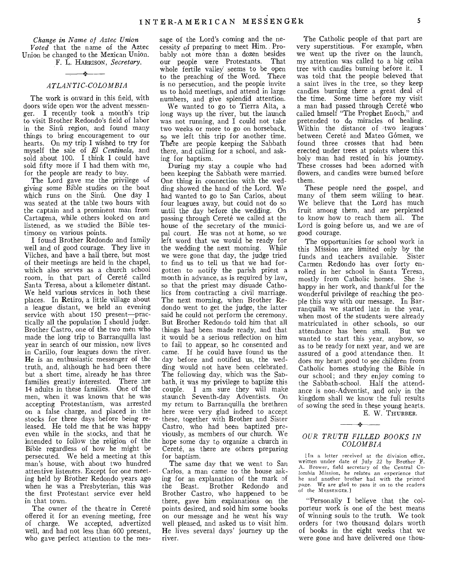*Change in Name of Aztec Union Voted* that the name of the Aztec Union be changed to the Mexican Union. F. L. HARRISON, *Secretary.* 

#### *ATLANTIC-COLOMBIA*

The work is onward in this field, with doors wide open wor the advent messenger. I recently took a month's trip to visit Brother Redondo's field of labor in the Sinú region, and found many things to bring encouragement to our hearts. On my trip I wished to try for myself the sale of *El Centinela,* and sold about 100. I think I could have sold fifty more if I had them with me, for the people are ready to buy.

The Lord gave me the privilege of *giving* some Bible studies on the boat which runs on the Sinu. One day I was seated at the table two hours with the captain and a prominent man from Cartagena, while others looked on and listened, as we studied the Bible testimony on various points.

I found Brother Redondo and family well and of good courage. They live in Vilches, and have a hall there, but most of their meetings are held in the chapel, which also serves as a church school room, in that part of Cerete called Santa Teresa, about a kilometer distant. We held various services in both these places. In Retiro, a little village about a league distant, we held an evening service with about 150 present—practically all the population  $\overline{I}$  should judge. Brother Castro, one of the two men who made the long trip to Barranquilla last year in search of our mission, now lives in Carillo, four leagues down the river. He is an enthusiastic messenger of the truth, and, although he had been there but a short time, already he has three families greatly interested. There are 14 adults in these families. One of the men, when it was known that he was accepting Protestantism, was arrested on a false charge, and placed in the stocks for three days before being released. He told me that he was happy even while in the stocks, and that lie intended to follow the religion of the Bible regardless of how he might be persecuted. We held a meeting at this man's house, with about two hundred attentive listeners. Except for one meeting held by Brother Redondo years ago when he was a Presbyterian, this was the first Protestant service ever held in that town.

The owner of the theatre in Cereté offered it for an evening meeting, free of charge. We accepted, advertized well, and had not less than 600 present, who gave perfect attention to the message of the Lord's coming and the necessity of preparing to meet Him. Probably not more than a dozen besides our people were Protestants. That whole fertile valley seems to be open to the preaching of the Word. There is no persecution, and the people invite us to hold meetings, and attend in large numbers, and give splendid attention.

We wanted to go to Tierra Alta, a long ways up the river, but the launch was not running, and I could not take two weeks or more to go on horseback, so we left this trip for another time. There are people keeping the Sabbath there, and calling for a school, and asking for baptism.

During my stay a couple who had been keeping the Sabbath were married. One thing in connection with the wedding showed the hand of the Lord. We had wanted to go to San Carlos, about four leagues away, but could not do so until the day before the wedding. On passing through Cereté we called at the house of the secretary of the municipal court. He was not at home, so we left word that we would be ready for the wedding the next morning. While we were gone that day, the judge tried to find us to tell us that we had forgotten to notify the parish priest a month in advance, as is required by law, so that the priest may disuade Catholics from contracting a civil marriage. The next morning, when Brother Redondo went to get the judge, the latter said he could not perform the ceremony. But Brother Redondo told him that all things had been made ready, and that it would be a serious reflection on him to fail to appear, so he consented and came. If he could have found us the day before and notified us, the wedding would not have been celebrated. The following day, which was the Sabbath, it was my privilege to baptize this couple. I am sure they will make staunch Seventh-day Adventists. On my return to Barranquilla the brethren here were very glad indeed to accept these, together with Brother and Sister Castro, who had been baptized previously, as members of our church. We hope some day to organize a church in Cereté, as there are others preparing for baptism.

The same day that we went to San Carlos, a man came to the house asking for an explanation of the mark of<br>the Beast. Brother Redondo and Brother Redondo and Brother Castro, who happened to be there, gave him explanations on the points desired, and sold him some books on our message and he went his way well pleased, and asked us to visit him. He lives several days' journey up the river.

The Catholic people of that part are very superstitious. For example, when we went up the river on the launch, my attention was called to a big ceiba tree with candles burning before it. I was told that the people beleved that a saint lives in the tree, so they keep candles burning there a great deal of the time. Some time before my visit a man had passed through Cereté who called hmself "The Prophet Enoch," and pretended to do miracles of healing. Within the distance of two leagues' between Cereté and Mateo Gómez, we found three crosses that had been erected under trees at points where this holy man had rested in his journey. These crosses had been adorned with flowers, and candles were burned before them.

These people need the gospel, and many of them seem willing to hear. We believe that the Lord has much fruit among them, and are perplexed to know how to reach them all. The Lord is going before us, and we are of good courage.

The opportunities for school work in this Mission are limited only by the funds and teachers available. Sister Carmen Redondo has over forty enrolled in her school in Santa Teresa, mostly from Catholic homes. She 's happy in her work, and thankful for the wonderful privilege of reaching the people this way with our message. In Barranquilla we started late in the year, when most of the students were already matriculated in other schools, so our attendance has been small. But we wanted to start this year, anyhow, so as to be ready for next year, and we are assured of a good attendance then. It does my heart good to see children from Catholic homes studying the Bible in our school; and they enjoy coming to the Sabbath-school. Half the attendance is non-Adventist, and only in the kingdom shall we know the full results of sowing the seed in these young hearts.

E. W. THURBER.

#### *OUR TRUTH FILLED BOOKS IN COLOMBIA*

لمعاد

lin a letter received at the division office, written under date of July 22 by Brother F. A. Brower, field secretary of the Central *Colombia Mission, he* relates an experience that he and another brother had with the printed page. We are glad to pass it on to the readers of the MESSENGER.]

"Personally I believe that the colporteur work is one of the best means of winning souls to the truth. We took orders for two thousand dolars worth of books in the eight weeks that we were gone and have delivered one thou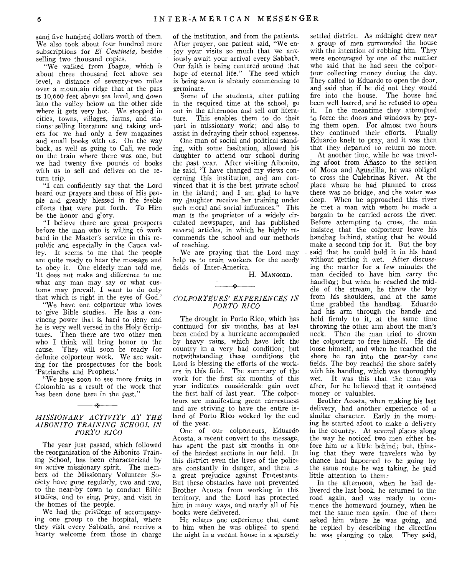sand five hundred dollars worth of them. We also took about four hundred more subscriptions for *El Centinela,* besides selling two thousand copies.

"We walked from Ibague, which is about three thousand feet above sea level, a distance of seventy-two miles over a mountain ridge that at the pass is 10,660 feet above sea level, and down into the valley below on the other side where it gets very hot. We stopped in cities, towns, villages, farms, and stations selling literature and taking orders for we had only a few magazines and small books with us. On the way back, as well as going to Cali, we rode on the train where there was one, but we had twenty five pounds of books with us to sell and deliver on the return trip.

"I can confidently say that the Lord heard our prayers and those of His people and greatly blessed in the feeble efforts that were put forth. To Him be the honor and glory.

"I believe there are great prospects before the man who is willing to work hard in the Master's service in this republic and especially in the Cauca valley. It seems to me that the people are quite ready to hear the message and to obey it. One elderly man told me, `It does not make and difference to me what any man may say or what customs may prevail, I want to do only that which is right in the eyes of God.'

"We have one colporteur who loves to give Bible studies. He has a convincng power that is hard to deny and he is very well versed in the Holy Scriptures. Then there are two other men who I think will bring honor to the cause. They will soon be ready for definite colporteur work. We are waiting for the prospectuses for the book `Patriarchs and Prophets.'

"We hope soon to see more fruits in Colombia as a result of the work that has been done here in the past."

 $\mathbf{r}$ 

#### *MISSIONARY ACTIVITY AT THE AIBONITO TRAINING SCHOOL IN PORTO RICO*

The year just passed, which followed the reorganization of the Aibonito Training School, has been characterized by an active missionary spirit. The members of the Missionary Volunteer Society have gone regularly, two and two, to the near-by town to conduct Bible studies, and to sing, pray, and visit in the homes of the people.

We had the privilege of accompanying one group to the hospital, where they visit every Sabbath, and receive a hearty welcome from those in charge

of the institution, and from the patients. After prayer, one patient said, "We enjoy your visits so much that we anxiously await your arrival every Sabbath. Our faith is being centered around that hope of eternal life." The seed which is being sown is already commencing to germinate.

Some of the students, after putting in the required time at the school, go out in the afternoon and sell our literature. This enables them to do their part in missionary work; and also to assist in defraying their school expenses.

One man of social and political standing, with some hesitation, allowed his daughter to attend our school during the past year. After visiting Aibonito, he said, "I have changed my views concerning this institution, and am convinced that it is the best private school in the island; and I am glad to have my daughter receive her training under such moral and social influences." This man is the proprietor of a widely circulated newspaper, and has published several articles, in which he highly recommends the school and our methods of teaching.

We are praying that the Lord may help us to train workers for the needy fields of Inter-America.

H. MANGOLD.

# $\mathbf{r}$

#### *COLPORTEURS' EXPERIENCES IN PORTO RICO*

The drought in Porto Rico, which has continued for six months, has at last been ended by a hurricane accompanied by heavy rains, which have left the country in a very bad condition; but notwithstanding these conditions the Lord is blessing the efforts of the workers in this field. The summary of the work for the first six months of this year indicates considerable gain over the first half of last year. The colporteurs are manifesting great earnestness and are striving to have the entire island of Porto Rico worked by the end of the year.

One of our colporteurs, Eduardo Acosta, a recent convert to the message, has spent the past six months in one of the hardest sections in our field. In this district even the lives of the police are constantly in danger, and there is a great prejudice against Protestants. But these obstacles have not prevented Brother Acosta from working in this territory, and the Lord has protected him in many ways, and nearly all of his books were delivered.

He relates one experience that came to him when he was obliged to spend the night in a vacant house in a sparsely settled district. As midnight drew near a group of men surrounded the house with the intention of robbing him. They were encouraged by one of the number who said that he had seen the colporteur collecting money during the day. They called to Eduardo to open the door, and said that if he did not they would fire into the house. The house had been well barred, and he refused to open it. In the meantime they attempted to force the doors and windows by prying them open. For almost two hours they continued their efforts. Finally Eduardo knelt to pray, and it was then that they departed to return no more.

At another time, while he was traveling afoot from Añasco to the section of Moca and Aguadilla, he was obliged to cross the Culebrinas River. At the place where he had planned to cross there was no bridge, and the water was deep. When he approached this river he met a man with whom he made a bargain to be carried across the river. Before attempting to cross, the man insisted that the colporteur leave his handbag behind, stating that he would make a second trip for it. But the boy said that he could hold it in his hand without getting it wet. After discussing the matter for a few minutes the man decided to have him carry the handbag; but when he reached the middle of the stream, he threw the boy from his shoulders, and at the same time grabbed the handbag. Eduardo had his arm through the handle and held firmly to it, at the same time throwing the other arm about the man's neck. Then the man tried to drown the colporteur to free himself. He did loose himself, and when he reached the shore he ran into the near-by cane fields. The boy reached the shore safely with his handbag, which was thoroughly wet. It was this that the man was after, for he believed that it contained money or valuables.

Brother Acosta, when making his last delivery, had another experience of a similar character. Early in the morning he started afoot to make a delivery in the country. At several places along the way he noticed two men either before him or a little behind; but, thimting that they were travelers who by chance had happened to be going by the same route he was taking, he paid little attention to them:

In the afternoon, when he had delivered the last book, he returned to the road again, and was ready to commence the homeward journey, when he met the same men again. One of them asked him where he was going, and he replied by describing the direction he was planning to take. They said,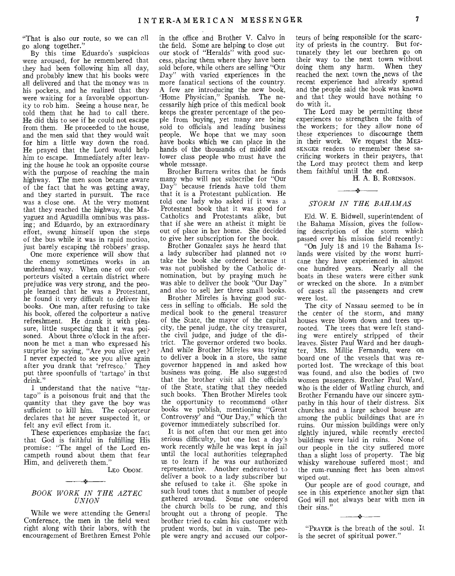"That is also our route, so we can oll go along together."

By this time Eduardo's suspicions were aroused,, for he remembered that they had been following him all day, and probably knew that his books were all delivered and that the money was in his pockets, and he realized that they were waiting for a favorable opportunity to rob him. Seeing a house near, he told them that he had to call there. He did this to see if he could not escape from them. He proceeded to the house, and the men said that they would wait for him a little way down the road. He prayed that the Lord would help him to escape. Immediately after leaving the house he took an opposite course with the purpose of reaching the main highway. The men soon became aware of the fact that he was getting away, and they started in pursuit. The race was a close one. At the very moment that they reached the highway, the Mayaguez and Aguadilla omnibus was passing; and Eduardo, by an extraordinary effort, swung himself upon the steps of the bus while it was in rapid motion, just barely escaping the robbers' grasp.

One more experience will show that the enemy sometimes works in an underhand way. When one of our colporteurs visited a certain district where prejudice was very strong, and the people learned that he was a Protestant, he found it very difficult to deliver his books. One man, after refusing to take his book, offered the colporteur a native refreshment. He drank it with pleasure, little suspecting that it was poisoned. About three o'clock in the afternoon he met a man who expressed his surprise by saying, "Are you alive yet? I never expected to see you alive again after you drank that 'refresco.' They put three spoonfulls of 'tartago' in that drink."

I understand that the native "tartago" is a poisonous fruit and that the quantity that they gave the boy was sufficient to kill him. The colporteur declares that he never suspected it, or felt any evil effect from it.

These experiences emphasize the fact that God is faithful in fulfilling His promise: "The angel of the Lord encampeth round about them that fear Him, and delivereth them."

LEO ODOM.

#### *BOOK WORK IN THE AZTEC UNION*

 $-$ 

While we were attending the General Conference, the men in the field went right along with their labors, with the encouragement of Brethren Ernest Pohle

in the office and Brother V. Calvo in the field. Some are helping to close out our stock of "Heralds" with good success, placing them where they have been sold before, while others are selling "Our Day" with varied experiences in the more fanatical sections of the country. A few are introducing the new book, 'Home Physician," Spanish. The necessarily high price of this medical book keeps the greater percentage of the people from buying, yet many are being sold to officials and leading business people. We hope that we may soon have books which we can place in the hands of the thousands of middle and lower class people who must have the whole message.

Brother Barrera writes that he finds many who will not subscribe for "Our Day" because friends have told them that it is a Protestant publication. He told one lady who asked if it was a Protestant book that it was good for Catholics and Protestants alike, but that if she were an atheist it might be out of place in her home. She decided to give her subscription for the book.

Brother Gonzalez says he heard that a lady subscriber had planned not to take the book she ordered because it was not published by the Catholic denomination, but by praying much he was able to deliver the book "Our Day" and also to sell her three small books.

Brother Mireles is having good success in selling to officials. He sold the medical book to the general treasurer of the State, the mayor of the capital city, the penal judge, the city treasurer, the civil judge, and judge of the district. The governor ordered two books. And while Brother Mireles was trying to deliver a book in a store, the same governor happened in and asked how business was going. He also suggested that the brother visit all the officials of the State, stating that they needed such books. Then Brother Mireles took the opportunity to recommend other books we publish, mentioning "Great Controversy' and "Our Day," which the governor immediately subscribed for.

It is not often that our men get into serious difficulty, but one lost a day's work recently while he was kept in jail until the local authorities telegraphed us to learn if he was our authorized representative. Another endeavored to deliver a book to a lady subscriber but she refused to take it. She spoke in such loud tones that a number of people gathered around. Some one ordered the church bells to be rung, and this brought out a throng of people. The brother tried to calm his customer with prudent words, but in vain. The people were angry and accused our colpor-

teurs of being responsible for the scarcity of priests in the country. But fortunately they let our brethren go on their way to the next town without doing them any harm. When they reached the next town the .news of the recent experience had already spread and the people said the book was known and that they would have nothing to do with it.

The Lord may be permitting these experiences to strengthen the faith of the workers; for they allow none of these experiences to discourage them in their work. We request the ME3- SENGER readers to remember these sacrificing workers in their prayers, that the Lord may protect them and keep them faithful until the end.

H. A. B. ROBINSON.

# $\rightarrow$ *STORM IN THE BAHAMAS*

Eld. W. E. Bidwell, superintendent of the Bahama Mission, gives the following description of the storm which passed over his mission field recently:

"On July 18 and 19 the Bahama Islands were visited by the worst hurricane they have experienced in almost one hundred years. Nearly all the boats in these waters were either sunk or wrecked on the shore. In a number of cases all the passengers and crew were lost.

The city of Nassau seemed to be in the center of the storm, and many houses were blown down and trees uprooted. The trees that were left standing were entirely stripped of their leaves. Sister Paul Ward and her daughter, Mrs. Millie Fernandu, were on board one of the vessels that was reported lost. The wreckage of this boat was found, and also the bodies of two women passengers. Brother Paul Ward, who is the elder of Watling church, and Brother Fernandu have our sincere sympathy in this hour of their distress. Six churches and a large school house are among the public buildings that are in ruins. Our mission buildings were only sightly injured, while recently erected buildings were laid in ruins. None of our people in the city suffered more than a slight loss of property. The big whisky warehouse suffered most; and the rum-running fleet has been almost wiped out.

Our people are of good courage, and see in this experience another sign that God will not always bear with men in their sins."

"PRAYER is the breath of the soul. It is the secret of spiritual power,"

 $\frac{1}{2}$